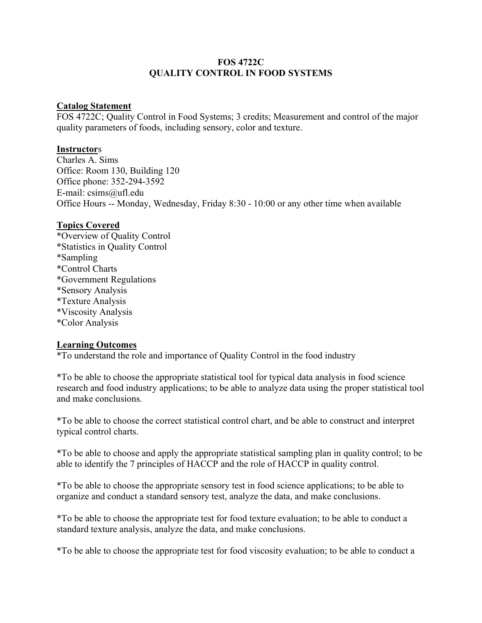## FOS 4722C QUALITY CONTROL IN FOOD SYSTEMS

#### Catalog Statement

FOS 4722C; Quality Control in Food Systems; 3 credits; Measurement and control of the major quality parameters of foods, including sensory, color and texture.

## **Instructors**

Charles A. Sims Office: Room 130, Building 120 Office phone: 352-294-3592 E-mail: csims@ufl.edu Office Hours -- Monday, Wednesday, Friday 8:30 - 10:00 or any other time when available

## Topics Covered

\*Overview of Quality Control \*Statistics in Quality Control \*Sampling \*Control Charts \*Government Regulations \*Sensory Analysis \*Texture Analysis \*Viscosity Analysis \*Color Analysis

## **Learning Outcomes**

\*To understand the role and importance of Quality Control in the food industry

\*To be able to choose the appropriate statistical tool for typical data analysis in food science research and food industry applications; to be able to analyze data using the proper statistical tool and make conclusions.

\*To be able to choose the correct statistical control chart, and be able to construct and interpret typical control charts.

\*To be able to choose and apply the appropriate statistical sampling plan in quality control; to be able to identify the 7 principles of HACCP and the role of HACCP in quality control.

\*To be able to choose the appropriate sensory test in food science applications; to be able to organize and conduct a standard sensory test, analyze the data, and make conclusions.

\*To be able to choose the appropriate test for food texture evaluation; to be able to conduct a standard texture analysis, analyze the data, and make conclusions.

\*To be able to choose the appropriate test for food viscosity evaluation; to be able to conduct a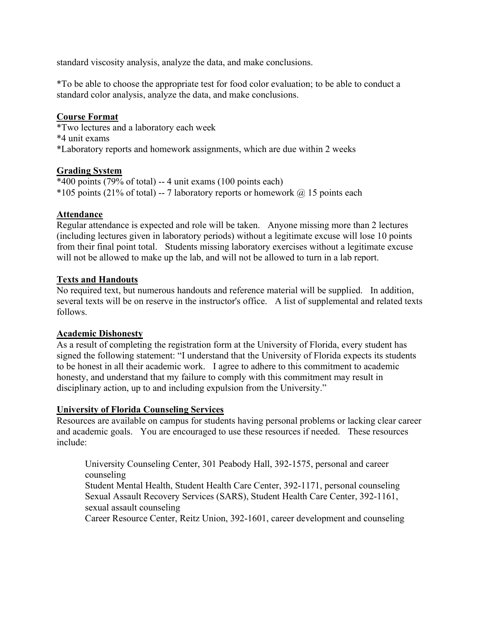standard viscosity analysis, analyze the data, and make conclusions.

\*To be able to choose the appropriate test for food color evaluation; to be able to conduct a standard color analysis, analyze the data, and make conclusions.

## Course Format

\*Two lectures and a laboratory each week \*4 unit exams \*Laboratory reports and homework assignments, which are due within 2 weeks

## Grading System

\*400 points (79% of total) -- 4 unit exams (100 points each) \*105 points (21% of total) -- 7 laboratory reports or homework  $(a)$  15 points each

## Attendance

Regular attendance is expected and role will be taken. Anyone missing more than 2 lectures (including lectures given in laboratory periods) without a legitimate excuse will lose 10 points from their final point total. Students missing laboratory exercises without a legitimate excuse will not be allowed to make up the lab, and will not be allowed to turn in a lab report.

## Texts and Handouts

No required text, but numerous handouts and reference material will be supplied. In addition, several texts will be on reserve in the instructor's office. A list of supplemental and related texts follows.

## Academic Dishonesty

As a result of completing the registration form at the University of Florida, every student has signed the following statement: "I understand that the University of Florida expects its students to be honest in all their academic work. I agree to adhere to this commitment to academic honesty, and understand that my failure to comply with this commitment may result in disciplinary action, up to and including expulsion from the University."

#### University of Florida Counseling Services

Resources are available on campus for students having personal problems or lacking clear career and academic goals. You are encouraged to use these resources if needed. These resources include:

 University Counseling Center, 301 Peabody Hall, 392-1575, personal and career counseling Student Mental Health, Student Health Care Center, 392-1171, personal counseling Sexual Assault Recovery Services (SARS), Student Health Care Center, 392-1161, sexual assault counseling

Career Resource Center, Reitz Union, 392-1601, career development and counseling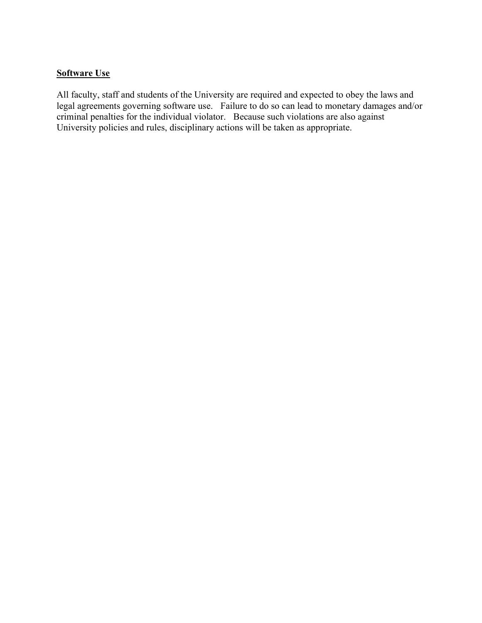# Software Use

All faculty, staff and students of the University are required and expected to obey the laws and legal agreements governing software use. Failure to do so can lead to monetary damages and/or criminal penalties for the individual violator. Because such violations are also against University policies and rules, disciplinary actions will be taken as appropriate.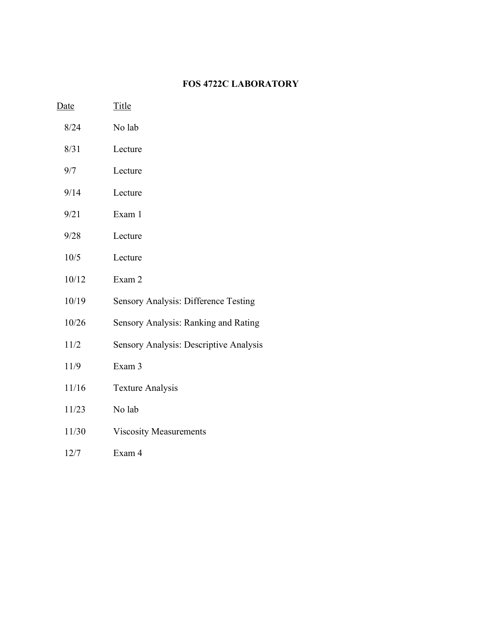# FOS 4722C LABORATORY

| <u>Date</u> | <u>Title</u>                           |
|-------------|----------------------------------------|
| 8/24        | No lab                                 |
| 8/31        | Lecture                                |
| 9/7         | Lecture                                |
| 9/14        | Lecture                                |
| 9/21        | Exam 1                                 |
| 9/28        | Lecture                                |
| 10/5        | Lecture                                |
| 10/12       | Exam 2                                 |
| 10/19       | Sensory Analysis: Difference Testing   |
| 10/26       | Sensory Analysis: Ranking and Rating   |
| 11/2        | Sensory Analysis: Descriptive Analysis |
| 11/9        | Exam 3                                 |
| 11/16       | <b>Texture Analysis</b>                |
| 11/23       | No lab                                 |
| 11/30       | <b>Viscosity Measurements</b>          |
| 12/7        | Exam 4                                 |